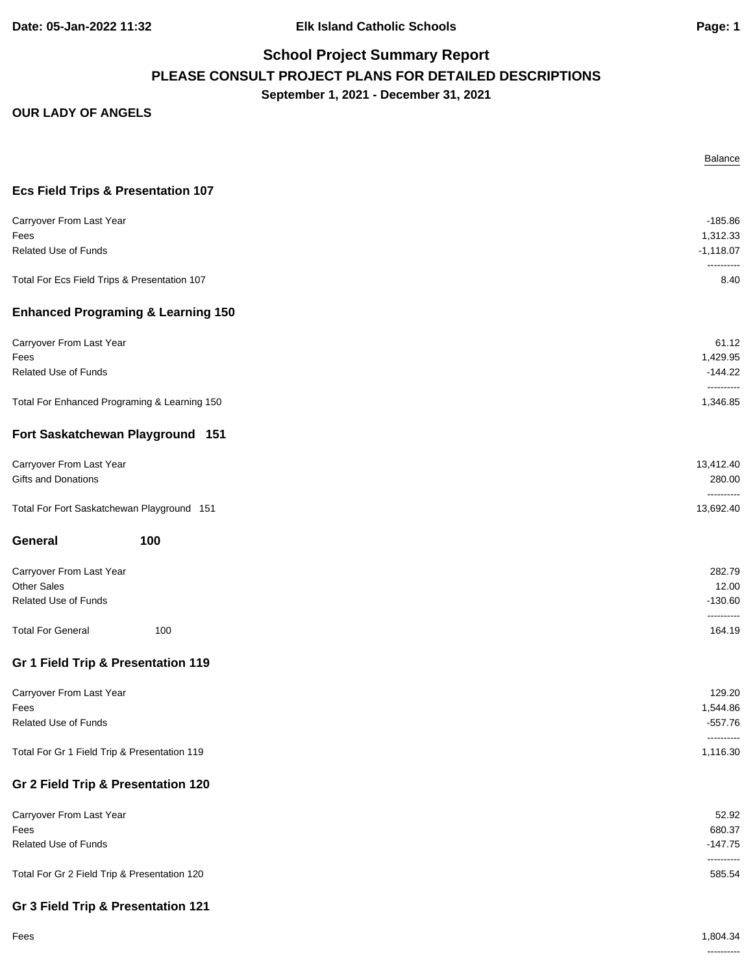**Date: 05-Jan-2022 11:32 Elk Island Catholic Schools Page: 1**

# **School Project Summary Report PLEASE CONSULT PROJECT PLANS FOR DETAILED DESCRIPTIONS September 1, 2021 - December 31, 2021**

#### **OUR LADY OF ANGELS**

|                                               | Balance                 |
|-----------------------------------------------|-------------------------|
| <b>Ecs Field Trips &amp; Presentation 107</b> |                         |
| Carryover From Last Year                      | $-185.86$               |
| Fees                                          | 1,312.33                |
| <b>Related Use of Funds</b>                   | $-1,118.07$             |
| Total For Ecs Field Trips & Presentation 107  | ----------<br>8.40      |
| <b>Enhanced Programing &amp; Learning 150</b> |                         |
| Carryover From Last Year                      | 61.12                   |
| Fees                                          | 1,429.95                |
| <b>Related Use of Funds</b>                   | $-144.22$<br>---------- |
| Total For Enhanced Programing & Learning 150  | 1,346.85                |
| Fort Saskatchewan Playground 151              |                         |
| Carryover From Last Year                      | 13,412.40               |
| Gifts and Donations                           | 280.00                  |
| Total For Fort Saskatchewan Playground 151    | ----------<br>13,692.40 |
| 100<br>General                                |                         |
| Carryover From Last Year                      | 282.79                  |
| <b>Other Sales</b>                            | 12.00                   |
| Related Use of Funds                          | $-130.60$<br>---------- |
| <b>Total For General</b><br>100               | 164.19                  |
| Gr 1 Field Trip & Presentation 119            |                         |
| Carryover From Last Year                      | 129.20                  |
| Fees                                          | 1,544.86                |
| Related Use of Funds                          | $-557.76$               |
| Total For Gr 1 Field Trip & Presentation 119  | ----------<br>1,116.30  |
| Gr 2 Field Trip & Presentation 120            |                         |
| Carryover From Last Year                      | 52.92                   |
| Fees                                          | 680.37                  |
| Related Use of Funds                          | $-147.75$               |
| Total For Gr 2 Field Trip & Presentation 120  | ----------<br>585.54    |
|                                               |                         |

### **Gr 3 Field Trip & Presentation 121**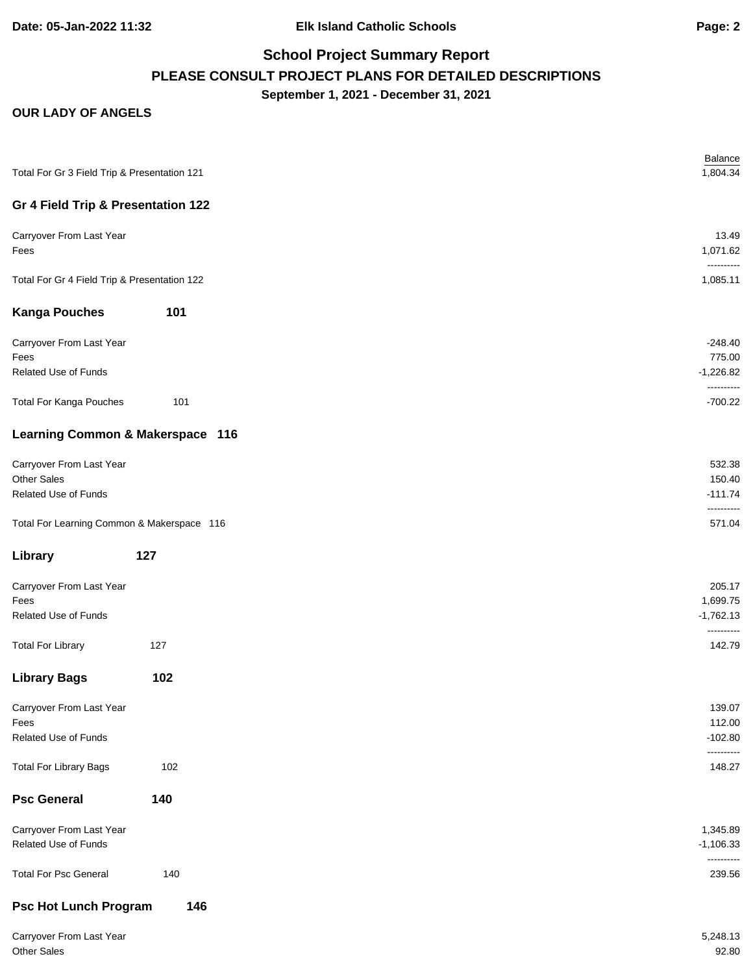**Date: 05-Jan-2022 11:32 Elk Island Catholic Schools Page: 2**

# **School Project Summary Report PLEASE CONSULT PROJECT PLANS FOR DETAILED DESCRIPTIONS September 1, 2021 - December 31, 2021**

### **OUR LADY OF ANGELS**

| Total For Gr 3 Field Trip & Presentation 121 |     | <b>Balance</b><br>1,804.34 |
|----------------------------------------------|-----|----------------------------|
| Gr 4 Field Trip & Presentation 122           |     |                            |
| Carryover From Last Year<br>Fees             |     | 13.49<br>1,071.62          |
| Total For Gr 4 Field Trip & Presentation 122 |     | ----------<br>1,085.11     |
| <b>Kanga Pouches</b>                         | 101 |                            |
| Carryover From Last Year<br>Fees             |     | $-248.40$<br>775.00        |
| Related Use of Funds                         |     | $-1,226.82$                |
| <b>Total For Kanga Pouches</b>               | 101 | ----------<br>$-700.22$    |
| Learning Common & Makerspace 116             |     |                            |
| Carryover From Last Year                     |     | 532.38                     |
| <b>Other Sales</b>                           |     | 150.40                     |
| Related Use of Funds                         |     | $-111.74$<br>----------    |
| Total For Learning Common & Makerspace 116   |     | 571.04                     |
| Library                                      | 127 |                            |
| Carryover From Last Year                     |     | 205.17                     |
| Fees                                         |     | 1,699.75                   |
| <b>Related Use of Funds</b>                  |     | $-1,762.13$<br>----------  |
| <b>Total For Library</b>                     | 127 | 142.79                     |
| <b>Library Bags</b>                          | 102 |                            |
| Carryover From Last Year                     |     | 139.07                     |
| Fees                                         |     | 112.00                     |
| Related Use of Funds                         |     | $-102.80$<br>----------    |
| <b>Total For Library Bags</b>                | 102 | 148.27                     |
| <b>Psc General</b>                           | 140 |                            |
| Carryover From Last Year                     |     | 1,345.89                   |
| Related Use of Funds                         |     | $-1,106.33$                |
| <b>Total For Psc General</b>                 | 140 | ----------<br>239.56       |
| <b>Psc Hot Lunch Program</b>                 | 146 |                            |

| Carryover From Last Year | 5,248.13 |
|--------------------------|----------|
| Other Sales              | 92.80    |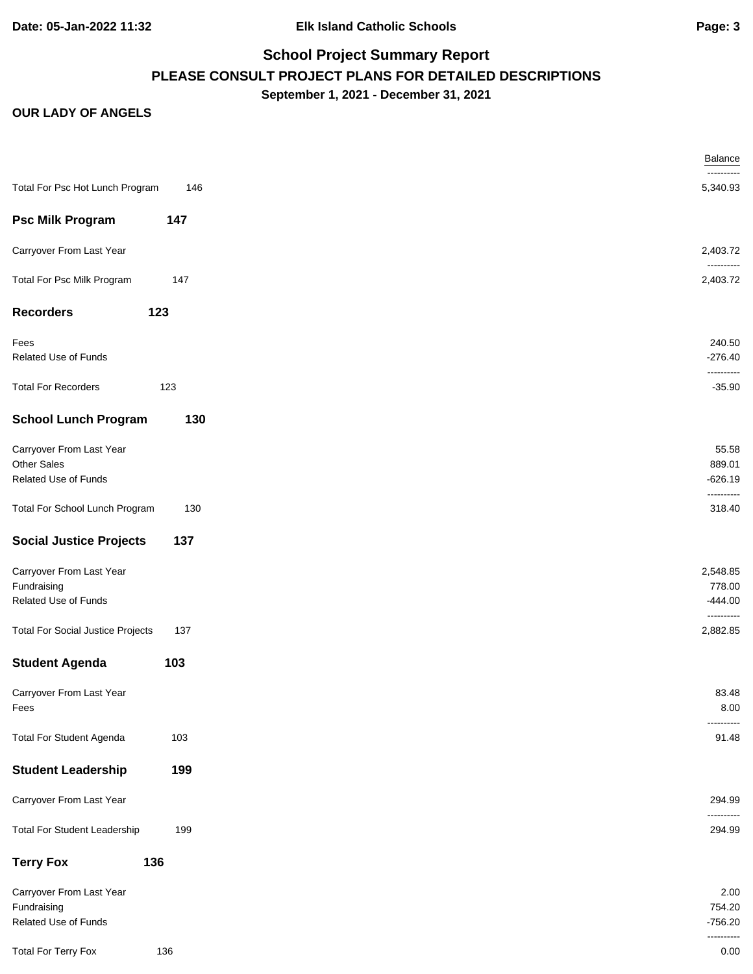# **School Project Summary Report PLEASE CONSULT PROJECT PLANS FOR DETAILED DESCRIPTIONS September 1, 2021 - December 31, 2021**

### **OUR LADY OF ANGELS**

|                                          |     | <b>Balance</b>         |
|------------------------------------------|-----|------------------------|
| Total For Psc Hot Lunch Program          | 146 | ----------<br>5,340.93 |
| <b>Psc Milk Program</b>                  | 147 |                        |
| Carryover From Last Year                 |     | 2,403.72               |
| Total For Psc Milk Program               | 147 | ----------<br>2,403.72 |
| <b>Recorders</b>                         | 123 |                        |
|                                          |     | 240.50                 |
| Fees<br>Related Use of Funds             |     | $-276.40$              |
|                                          |     | ----------             |
| <b>Total For Recorders</b>               | 123 | $-35.90$               |
| <b>School Lunch Program</b>              | 130 |                        |
| Carryover From Last Year                 |     | 55.58                  |
| <b>Other Sales</b>                       |     | 889.01                 |
| Related Use of Funds                     |     | $-626.19$              |
| Total For School Lunch Program           | 130 | ----------<br>318.40   |
|                                          |     |                        |
| <b>Social Justice Projects</b>           | 137 |                        |
| Carryover From Last Year                 |     | 2,548.85               |
| Fundraising                              |     | 778.00                 |
| Related Use of Funds                     |     | $-444.00$              |
| <b>Total For Social Justice Projects</b> | 137 | ----------<br>2,882.85 |
| <b>Student Agenda</b>                    | 103 |                        |
| Carryover From Last Year                 |     | 83.48                  |
| Fees                                     |     | 8.00                   |
|                                          |     | -------                |
| <b>Total For Student Agenda</b>          | 103 | 91.48                  |
| <b>Student Leadership</b>                | 199 |                        |
| Carryover From Last Year                 |     | 294.99<br>----------   |
| <b>Total For Student Leadership</b>      | 199 | 294.99                 |
| <b>Terry Fox</b>                         | 136 |                        |
| Carryover From Last Year                 |     | 2.00                   |
| Fundraising                              |     | 754.20                 |
| Related Use of Funds                     |     | $-756.20$              |
| <b>Total For Terry Fox</b>               | 136 | ----------<br>0.00     |
|                                          |     |                        |